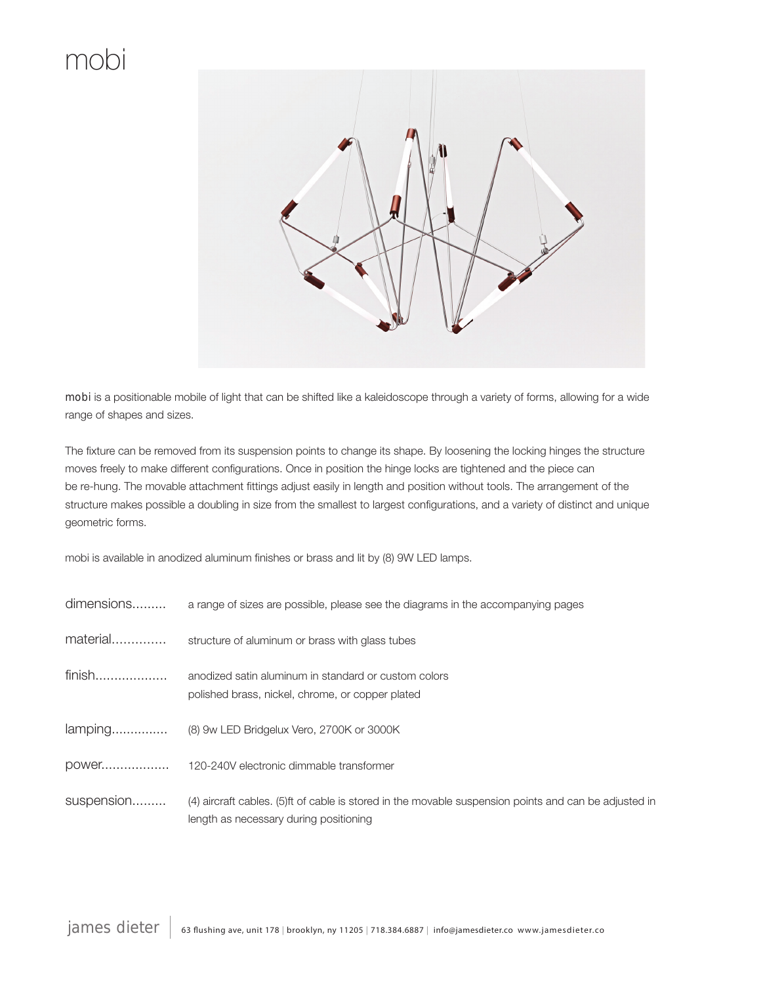

**mobi** is a positionable mobile of light that can be shifted like a kaleidoscope through a variety of forms, allowing for a wide range of shapes and sizes.

The fixture can be removed from its suspension points to change its shape. By loosening the locking hinges the structure moves freely to make different configurations. Once in position the hinge locks are tightened and the piece can be re-hung. The movable attachment fittings adjust easily in length and position without tools. The arrangement of the structure makes possible a doubling in size from the smallest to largest configurations, and a variety of distinct and unique geometric forms.

mobi is available in anodized aluminum finishes or brass and lit by (8) 9W LED lamps.

| dimensions | a range of sizes are possible, please see the diagrams in the accompanying pages                                                                |
|------------|-------------------------------------------------------------------------------------------------------------------------------------------------|
| material   | structure of aluminum or brass with glass tubes                                                                                                 |
| finish     | anodized satin aluminum in standard or custom colors<br>polished brass, nickel, chrome, or copper plated                                        |
|            | lamping (8) 9w LED Bridgelux Vero, 2700K or 3000K                                                                                               |
|            |                                                                                                                                                 |
| suspension | (4) aircraft cables. (5)ft of cable is stored in the movable suspension points and can be adjusted in<br>length as necessary during positioning |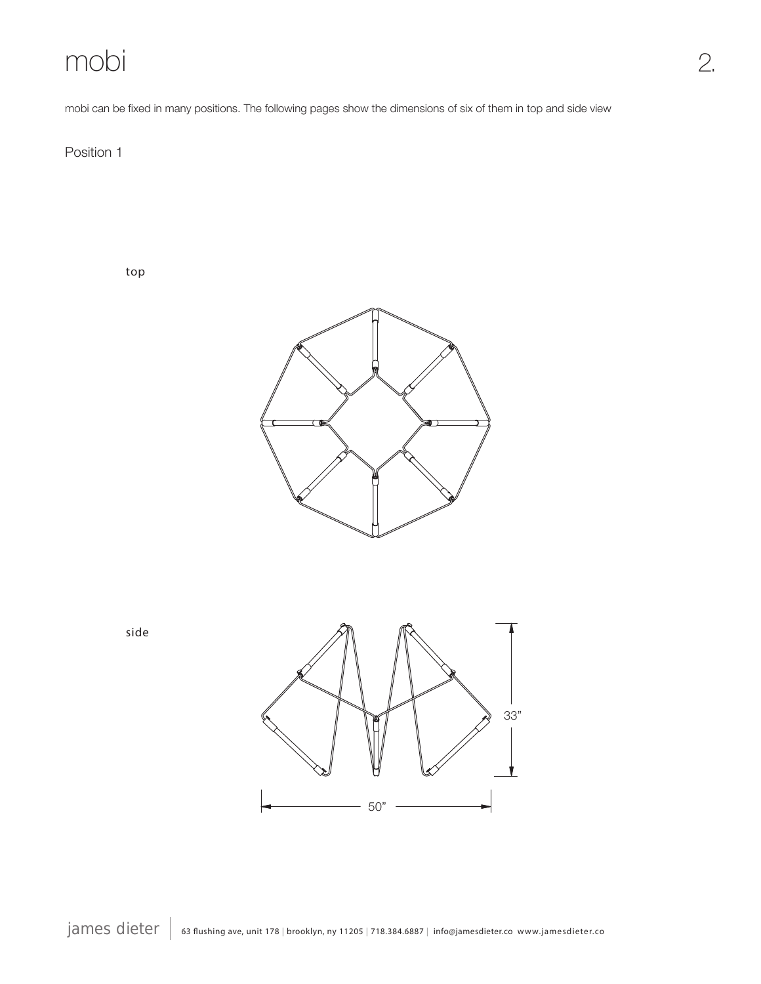mobi can be fixed in many positions. The following pages show the dimensions of six of them in top and side view

2.

Position 1

top





side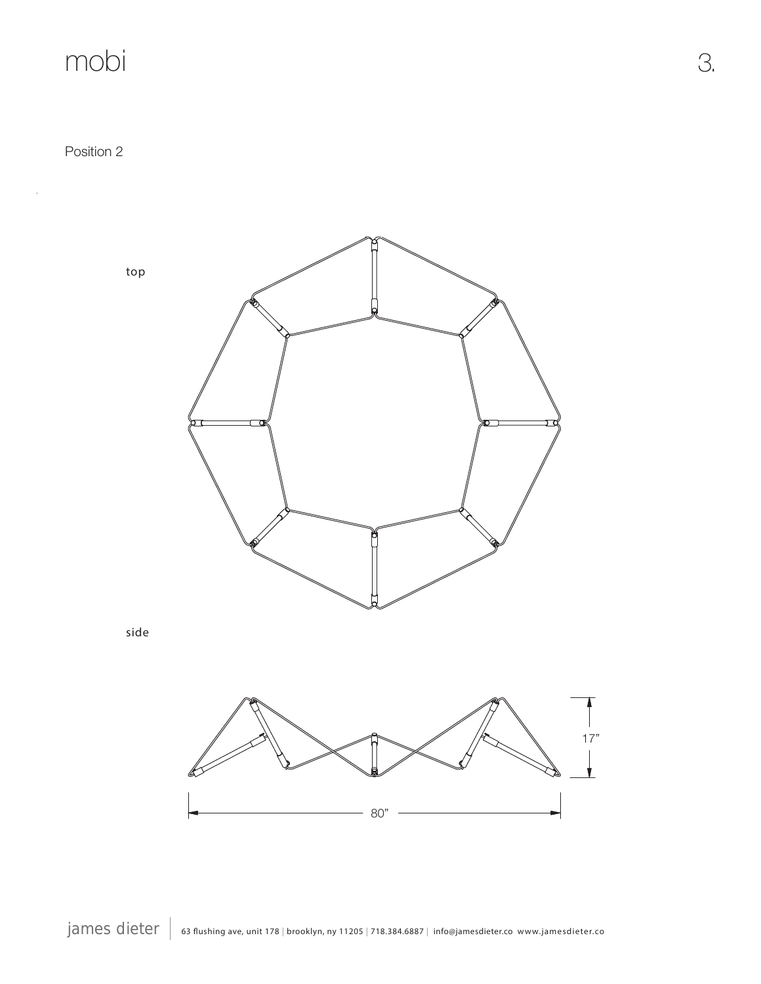Position 2

 $\bar{z}$ 





80"

3.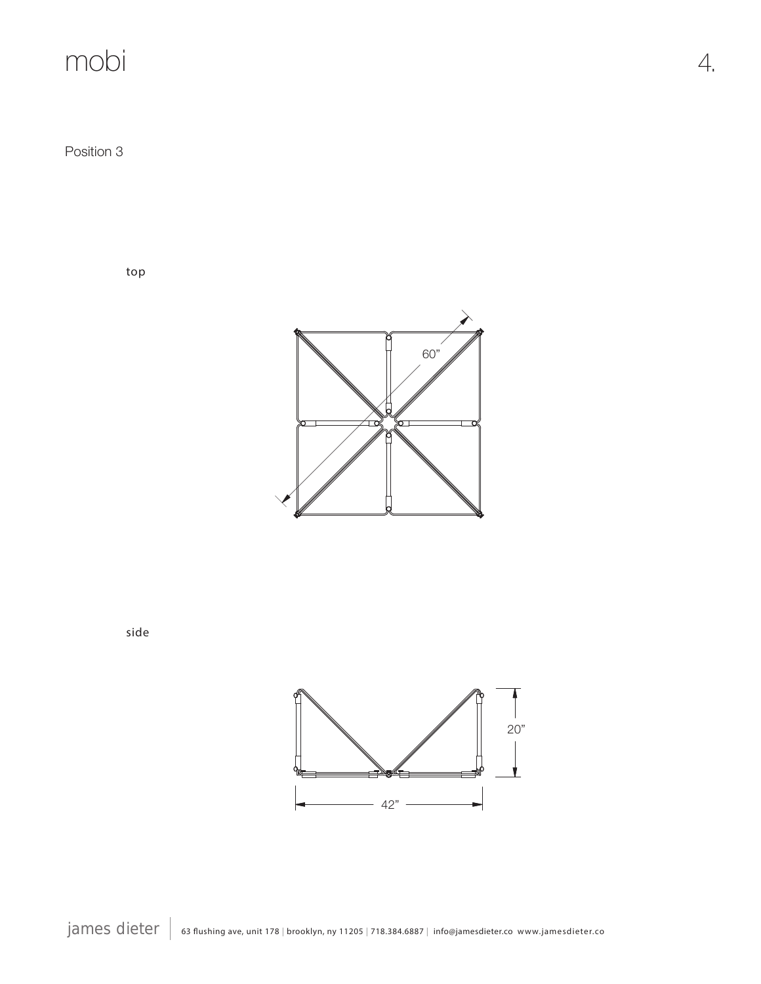Position 3

top



side

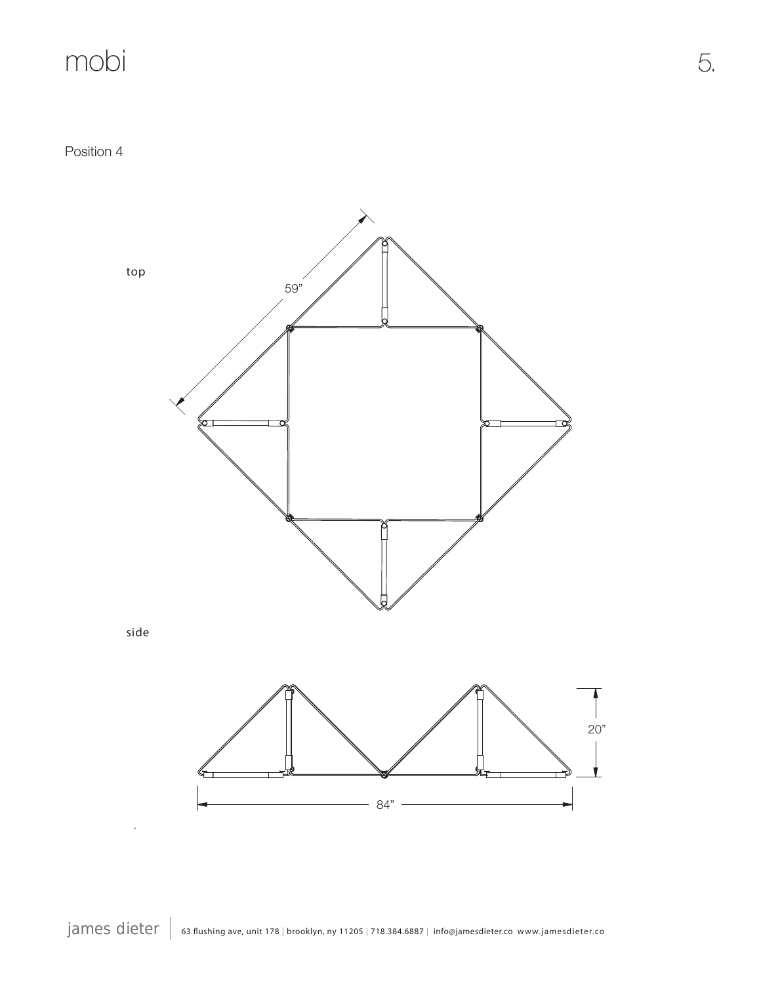Position 4



james dieter | 63 flushing ave, unit 178 | brooklyn, ny 11205 | 718.384.6887 | info@jamesdieter.co www.jamesdieter.co

5.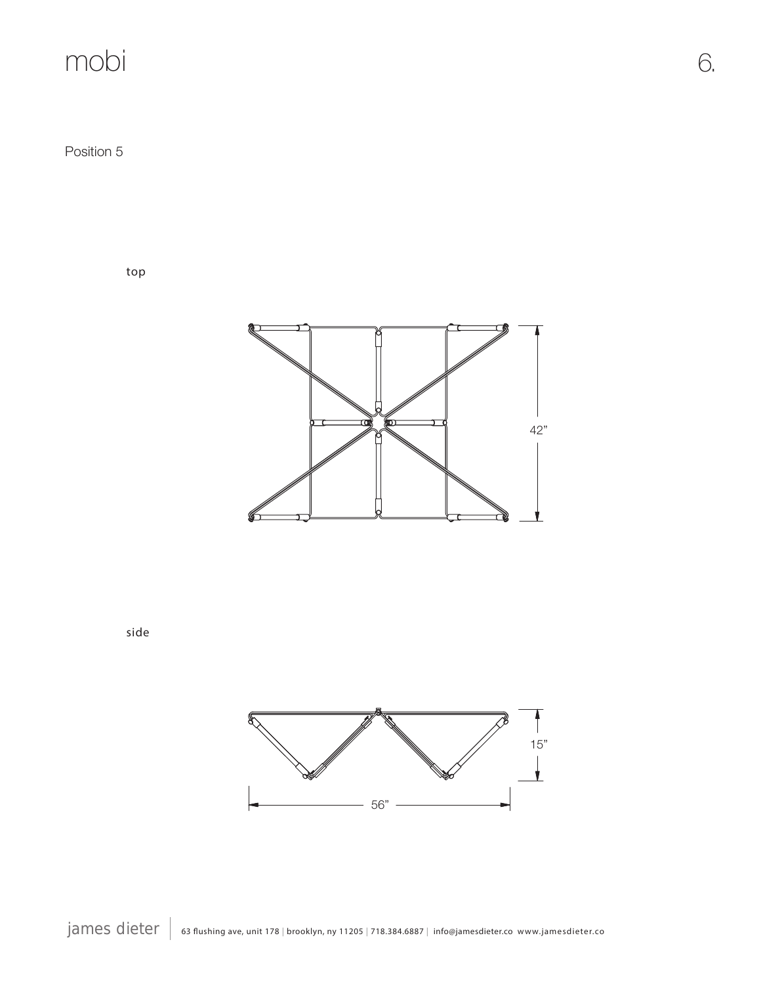Position 5

top



side



6.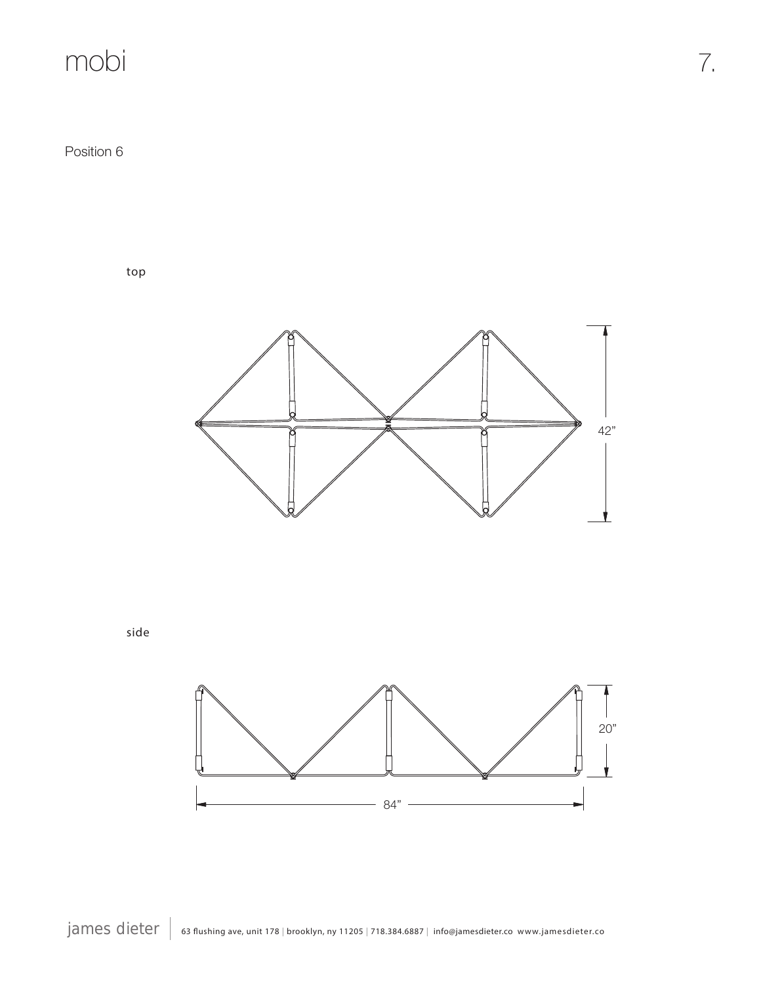Position 6

top



side